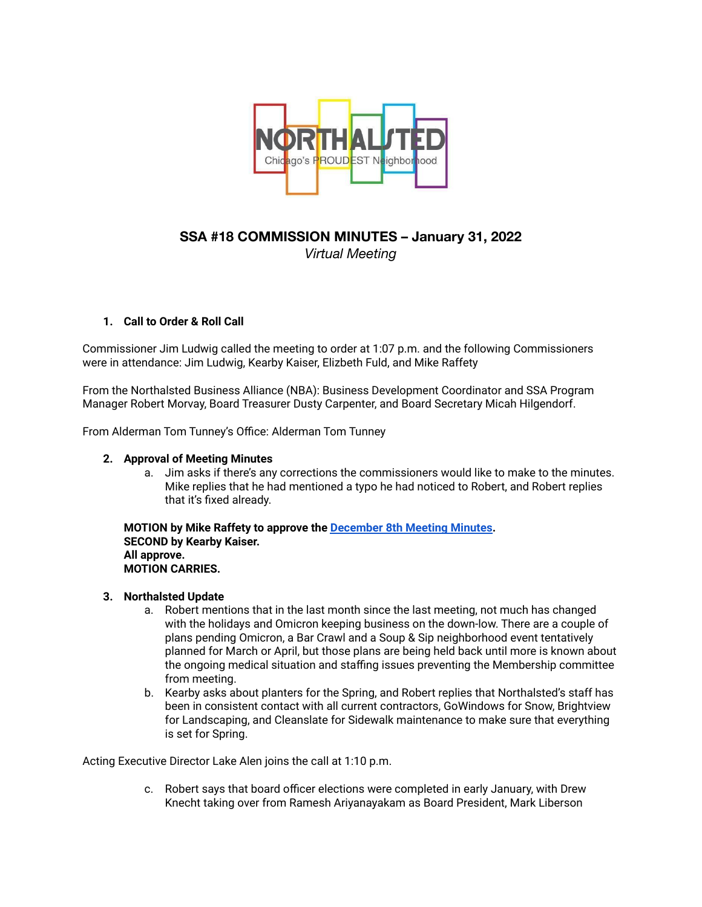

# **SSA #18 COMMISSION MINUTES – January 31, 2022** *Virtual Meeting*

# **1. Call to Order & Roll Call**

Commissioner Jim Ludwig called the meeting to order at 1:07 p.m. and the following Commissioners were in attendance: Jim Ludwig, Kearby Kaiser, Elizbeth Fuld, and Mike Raffety

From the Northalsted Business Alliance (NBA): Business Development Coordinator and SSA Program Manager Robert Morvay, Board Treasurer Dusty Carpenter, and Board Secretary Micah Hilgendorf.

From Alderman Tom Tunney's Office: Alderman Tom Tunney

### **2. Approval of Meeting Minutes**

a. Jim asks if there's any corrections the commissioners would like to make to the minutes. Mike replies that he had mentioned a typo he had noticed to Robert, and Robert replies that it's fixed already.

**MOTION by Mike Raffety to approve the [December](https://drive.google.com/file/d/1JxmVr9Sc0s0WkyGjWY2hO0qL1HSS8KEw/view?usp=sharing) 8th Meeting Minutes. SECOND by Kearby Kaiser. All approve. MOTION CARRIES.**

# **3. Northalsted Update**

- a. Robert mentions that in the last month since the last meeting, not much has changed with the holidays and Omicron keeping business on the down-low. There are a couple of plans pending Omicron, a Bar Crawl and a Soup & Sip neighborhood event tentatively planned for March or April, but those plans are being held back until more is known about the ongoing medical situation and staffing issues preventing the Membership committee from meeting.
- b. Kearby asks about planters for the Spring, and Robert replies that Northalsted's staff has been in consistent contact with all current contractors, GoWindows for Snow, Brightview for Landscaping, and Cleanslate for Sidewalk maintenance to make sure that everything is set for Spring.

Acting Executive Director Lake Alen joins the call at 1:10 p.m.

c. Robert says that board officer elections were completed in early January, with Drew Knecht taking over from Ramesh Ariyanayakam as Board President, Mark Liberson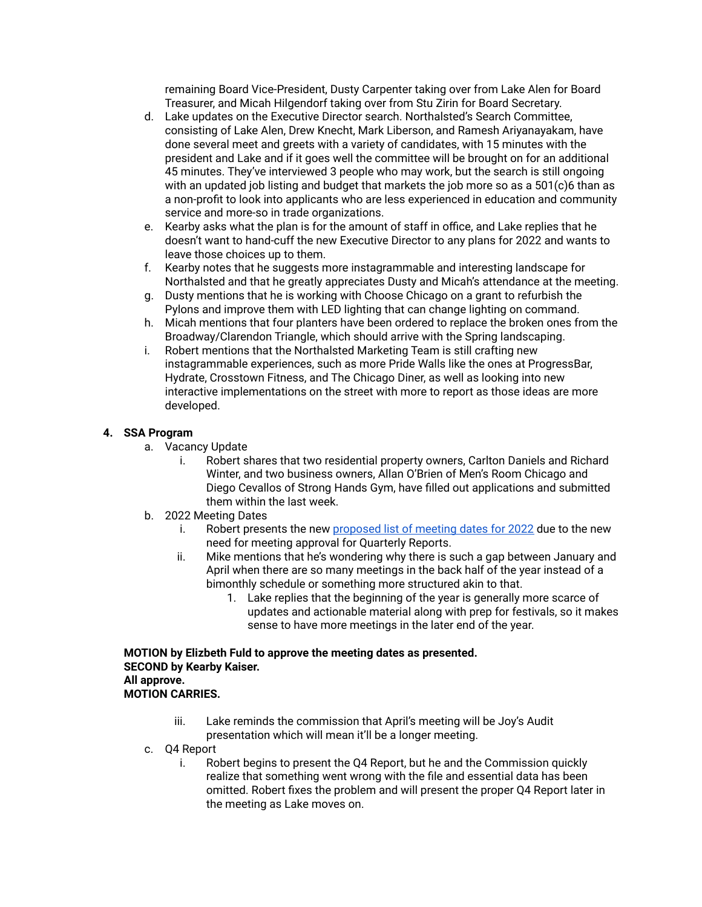remaining Board Vice-President, Dusty Carpenter taking over from Lake Alen for Board Treasurer, and Micah Hilgendorf taking over from Stu Zirin for Board Secretary.

- d. Lake updates on the Executive Director search. Northalsted's Search Committee, consisting of Lake Alen, Drew Knecht, Mark Liberson, and Ramesh Ariyanayakam, have done several meet and greets with a variety of candidates, with 15 minutes with the president and Lake and if it goes well the committee will be brought on for an additional 45 minutes. They've interviewed 3 people who may work, but the search is still ongoing with an updated job listing and budget that markets the job more so as a 501(c)6 than as a non-profit to look into applicants who are less experienced in education and community service and more-so in trade organizations.
- e. Kearby asks what the plan is for the amount of staff in office, and Lake replies that he doesn't want to hand-cuff the new Executive Director to any plans for 2022 and wants to leave those choices up to them.
- f. Kearby notes that he suggests more instagrammable and interesting landscape for Northalsted and that he greatly appreciates Dusty and Micah's attendance at the meeting.
- g. Dusty mentions that he is working with Choose Chicago on a grant to refurbish the Pylons and improve them with LED lighting that can change lighting on command.
- h. Micah mentions that four planters have been ordered to replace the broken ones from the Broadway/Clarendon Triangle, which should arrive with the Spring landscaping.
- i. Robert mentions that the Northalsted Marketing Team is still crafting new instagrammable experiences, such as more Pride Walls like the ones at ProgressBar, Hydrate, Crosstown Fitness, and The Chicago Diner, as well as looking into new interactive implementations on the street with more to report as those ideas are more developed.

# **4. SSA Program**

- a. Vacancy Update
	- i. Robert shares that two residential property owners, Carlton Daniels and Richard Winter, and two business owners, Allan O'Brien of Men's Room Chicago and Diego Cevallos of Strong Hands Gym, have filled out applications and submitted them within the last week.
- b. 2022 Meeting Dates
	- i. Robert presents the new [proposed](https://drive.google.com/file/d/1QgUGnSdEilWXK3Kas95wVUOqmTQB0HHC/view?usp=sharing) list of meeting dates for 2022 due to the new need for meeting approval for Quarterly Reports.
	- ii. Mike mentions that he's wondering why there is such a gap between January and April when there are so many meetings in the back half of the year instead of a bimonthly schedule or something more structured akin to that.
		- 1. Lake replies that the beginning of the year is generally more scarce of updates and actionable material along with prep for festivals, so it makes sense to have more meetings in the later end of the year.

**MOTION by Elizbeth Fuld to approve the meeting dates as presented. SECOND by Kearby Kaiser. All approve. MOTION CARRIES.**

- iii. Lake reminds the commission that April's meeting will be Joy's Audit presentation which will mean it'll be a longer meeting.
- c. Q4 Report
	- i. Robert begins to present the Q4 Report, but he and the Commission quickly realize that something went wrong with the file and essential data has been omitted. Robert fixes the problem and will present the proper Q4 Report later in the meeting as Lake moves on.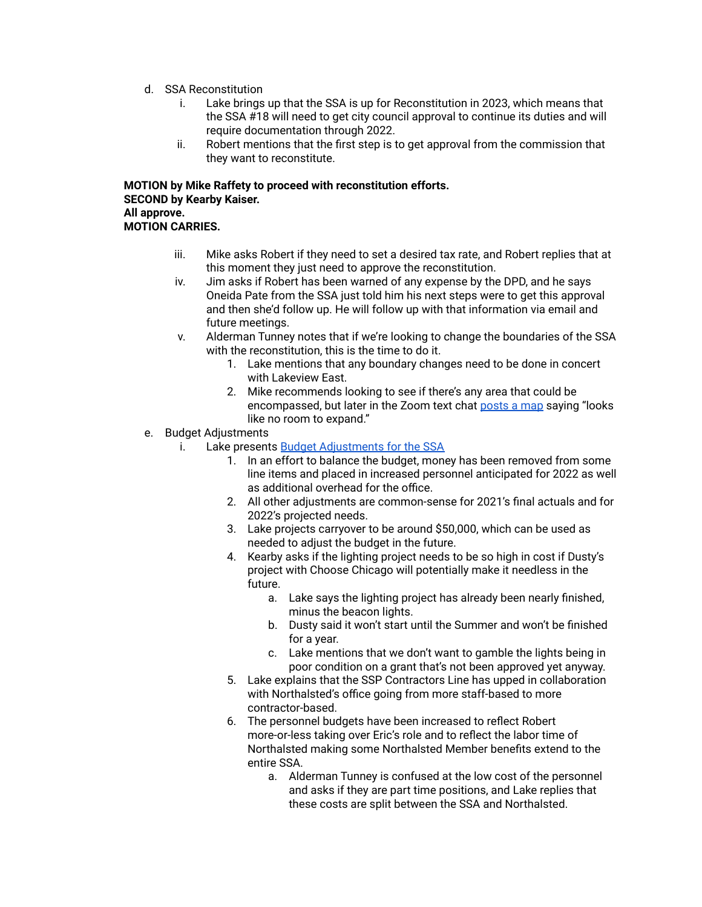- d. SSA Reconstitution
	- i. Lake brings up that the SSA is up for Reconstitution in 2023, which means that the SSA #18 will need to get city council approval to continue its duties and will require documentation through 2022.
	- ii. Robert mentions that the first step is to get approval from the commission that they want to reconstitute.

**MOTION by Mike Raffety to proceed with reconstitution efforts. SECOND by Kearby Kaiser. All approve. MOTION CARRIES.**

- iii. Mike asks Robert if they need to set a desired tax rate, and Robert replies that at this moment they just need to approve the reconstitution.
- iv. Jim asks if Robert has been warned of any expense by the DPD, and he says Oneida Pate from the SSA just told him his next steps were to get this approval and then she'd follow up. He will follow up with that information via email and future meetings.
- v. Alderman Tunney notes that if we're looking to change the boundaries of the SSA with the reconstitution, this is the time to do it.
	- 1. Lake mentions that any boundary changes need to be done in concert with Lakeview East.
	- 2. Mike recommends looking to see if there's any area that could be encompassed, but later in the Zoom text chat [posts](https://lakevieweast.com/ssa-8/) a map saying "looks like no room to expand."
- e. Budget Adjustments
	- i. Lake presents Budget [Adjustments](https://drive.google.com/file/d/1vtN7wY9EYNUymSVGoN32bPUJLp8jNv0v/view?usp=sharing) for the SSA
		- 1. In an effort to balance the budget, money has been removed from some line items and placed in increased personnel anticipated for 2022 as well as additional overhead for the office.
		- 2. All other adjustments are common-sense for 2021's final actuals and for 2022's projected needs.
		- 3. Lake projects carryover to be around \$50,000, which can be used as needed to adjust the budget in the future.
		- 4. Kearby asks if the lighting project needs to be so high in cost if Dusty's project with Choose Chicago will potentially make it needless in the future.
			- a. Lake says the lighting project has already been nearly finished, minus the beacon lights.
			- b. Dusty said it won't start until the Summer and won't be finished for a year.
			- c. Lake mentions that we don't want to gamble the lights being in poor condition on a grant that's not been approved yet anyway.
		- 5. Lake explains that the SSP Contractors Line has upped in collaboration with Northalsted's office going from more staff-based to more contractor-based.
		- 6. The personnel budgets have been increased to reflect Robert more-or-less taking over Eric's role and to reflect the labor time of Northalsted making some Northalsted Member benefits extend to the entire SSA.
			- a. Alderman Tunney is confused at the low cost of the personnel and asks if they are part time positions, and Lake replies that these costs are split between the SSA and Northalsted.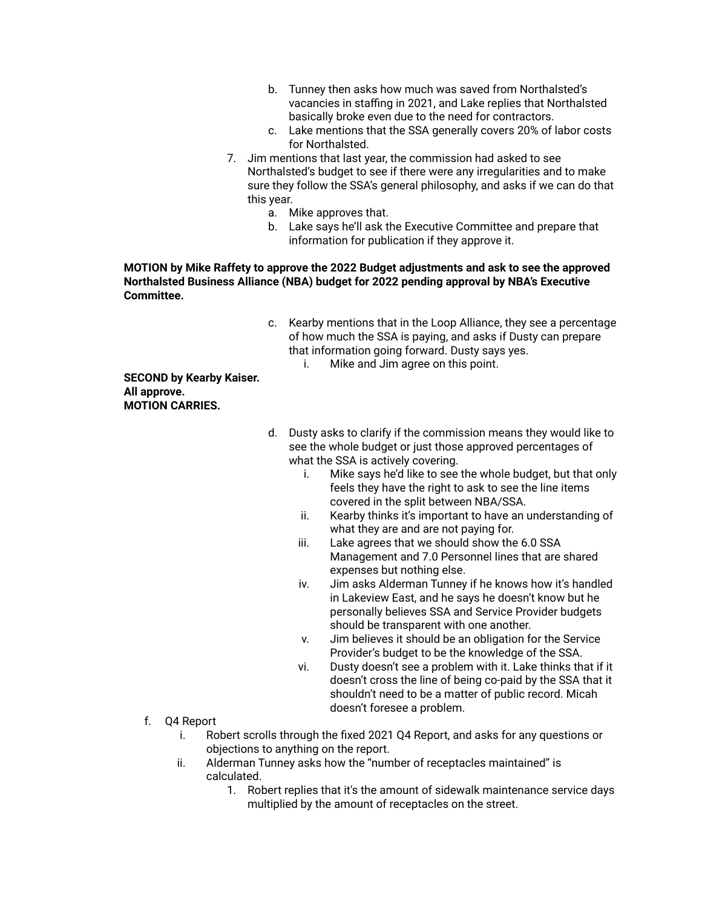- b. Tunney then asks how much was saved from Northalsted's vacancies in staffing in 2021, and Lake replies that Northalsted basically broke even due to the need for contractors.
- c. Lake mentions that the SSA generally covers 20% of labor costs for Northalsted.
- 7. Jim mentions that last year, the commission had asked to see Northalsted's budget to see if there were any irregularities and to make sure they follow the SSA's general philosophy, and asks if we can do that this year.
	- a. Mike approves that.
	- b. Lake says he'll ask the Executive Committee and prepare that information for publication if they approve it.

#### **MOTION by Mike Raffety to approve the 2022 Budget adjustments and ask to see the approved Northalsted Business Alliance (NBA) budget for 2022 pending approval by NBA's Executive Committee.**

- c. Kearby mentions that in the Loop Alliance, they see a percentage of how much the SSA is paying, and asks if Dusty can prepare that information going forward. Dusty says yes.
	- i. Mike and Jim agree on this point.

**SECOND by Kearby Kaiser. All approve. MOTION CARRIES.**

- d. Dusty asks to clarify if the commission means they would like to see the whole budget or just those approved percentages of what the SSA is actively covering.
	- i. Mike says he'd like to see the whole budget, but that only feels they have the right to ask to see the line items covered in the split between NBA/SSA.
	- ii. Kearby thinks it's important to have an understanding of what they are and are not paying for.
	- iii. Lake agrees that we should show the 6.0 SSA Management and 7.0 Personnel lines that are shared expenses but nothing else.
	- iv. Jim asks Alderman Tunney if he knows how it's handled in Lakeview East, and he says he doesn't know but he personally believes SSA and Service Provider budgets should be transparent with one another.
	- v. Jim believes it should be an obligation for the Service Provider's budget to be the knowledge of the SSA.
	- vi. Dusty doesn't see a problem with it. Lake thinks that if it doesn't cross the line of being co-paid by the SSA that it shouldn't need to be a matter of public record. Micah doesn't foresee a problem.
- f. Q4 Report
	- i. Robert scrolls through the fixed 2021 Q4 Report, and asks for any questions or objections to anything on the report.
	- ii. Alderman Tunney asks how the "number of receptacles maintained" is calculated.
		- 1. Robert replies that it's the amount of sidewalk maintenance service days multiplied by the amount of receptacles on the street.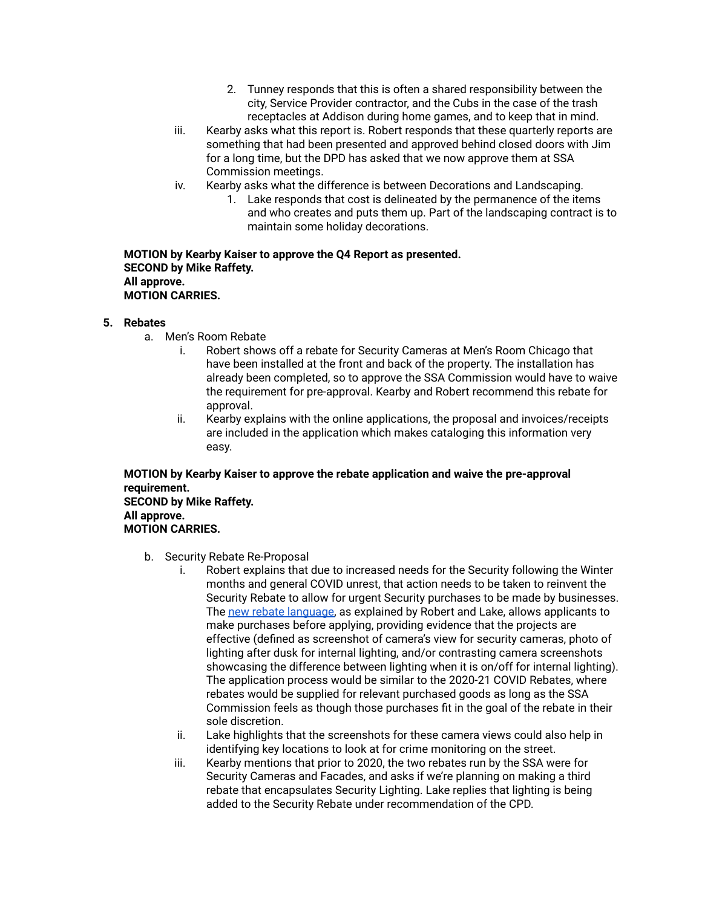- 2. Tunney responds that this is often a shared responsibility between the city, Service Provider contractor, and the Cubs in the case of the trash receptacles at Addison during home games, and to keep that in mind.
- iii. Kearby asks what this report is. Robert responds that these quarterly reports are something that had been presented and approved behind closed doors with Jim for a long time, but the DPD has asked that we now approve them at SSA Commission meetings.
- iv. Kearby asks what the difference is between Decorations and Landscaping.
	- 1. Lake responds that cost is delineated by the permanence of the items and who creates and puts them up. Part of the landscaping contract is to maintain some holiday decorations.

**MOTION by Kearby Kaiser to approve the Q4 Report as presented. SECOND by Mike Raffety. All approve. MOTION CARRIES.**

#### **5. Rebates**

- a. Men's Room Rebate
	- i. Robert shows off a rebate for Security Cameras at Men's Room Chicago that have been installed at the front and back of the property. The installation has already been completed, so to approve the SSA Commission would have to waive the requirement for pre-approval. Kearby and Robert recommend this rebate for approval.
	- ii. Kearby explains with the online applications, the proposal and invoices/receipts are included in the application which makes cataloging this information very easy.

**MOTION by Kearby Kaiser to approve the rebate application and waive the pre-approval requirement. SECOND by Mike Raffety. All approve. MOTION CARRIES.**

- b. Security Rebate Re-Proposal
	- i. Robert explains that due to increased needs for the Security following the Winter months and general COVID unrest, that action needs to be taken to reinvent the Security Rebate to allow for urgent Security purchases to be made by businesses. The new rebate [language,](https://drive.google.com/file/d/19fZWRBHpEri3DW5N8SVMsaICqXn_AvPT/view?usp=sharing) as explained by Robert and Lake, allows applicants to make purchases before applying, providing evidence that the projects are effective (defined as screenshot of camera's view for security cameras, photo of lighting after dusk for internal lighting, and/or contrasting camera screenshots showcasing the difference between lighting when it is on/off for internal lighting). The application process would be similar to the 2020-21 COVID Rebates, where rebates would be supplied for relevant purchased goods as long as the SSA Commission feels as though those purchases fit in the goal of the rebate in their sole discretion.
	- ii. Lake highlights that the screenshots for these camera views could also help in identifying key locations to look at for crime monitoring on the street.
	- iii. Kearby mentions that prior to 2020, the two rebates run by the SSA were for Security Cameras and Facades, and asks if we're planning on making a third rebate that encapsulates Security Lighting. Lake replies that lighting is being added to the Security Rebate under recommendation of the CPD.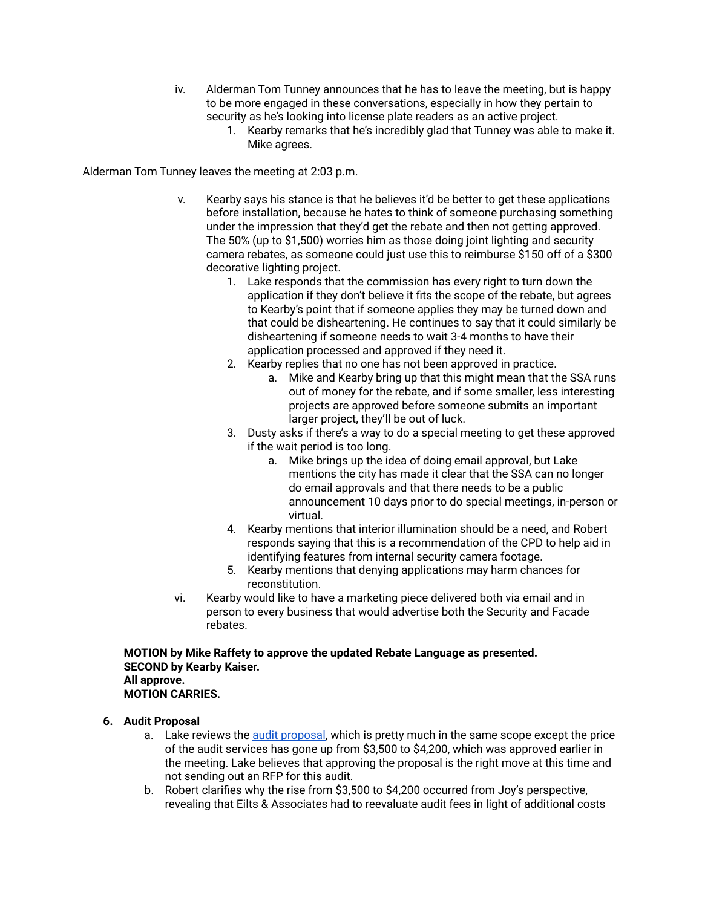- iv. Alderman Tom Tunney announces that he has to leave the meeting, but is happy to be more engaged in these conversations, especially in how they pertain to security as he's looking into license plate readers as an active project.
	- 1. Kearby remarks that he's incredibly glad that Tunney was able to make it. Mike agrees.

Alderman Tom Tunney leaves the meeting at 2:03 p.m.

- v. Kearby says his stance is that he believes it'd be better to get these applications before installation, because he hates to think of someone purchasing something under the impression that they'd get the rebate and then not getting approved. The 50% (up to \$1,500) worries him as those doing joint lighting and security camera rebates, as someone could just use this to reimburse \$150 off of a \$300 decorative lighting project.
	- 1. Lake responds that the commission has every right to turn down the application if they don't believe it fits the scope of the rebate, but agrees to Kearby's point that if someone applies they may be turned down and that could be disheartening. He continues to say that it could similarly be disheartening if someone needs to wait 3-4 months to have their application processed and approved if they need it.
	- 2. Kearby replies that no one has not been approved in practice.
		- a. Mike and Kearby bring up that this might mean that the SSA runs out of money for the rebate, and if some smaller, less interesting projects are approved before someone submits an important larger project, they'll be out of luck.
	- 3. Dusty asks if there's a way to do a special meeting to get these approved if the wait period is too long.
		- a. Mike brings up the idea of doing email approval, but Lake mentions the city has made it clear that the SSA can no longer do email approvals and that there needs to be a public announcement 10 days prior to do special meetings, in-person or virtual.
	- 4. Kearby mentions that interior illumination should be a need, and Robert responds saying that this is a recommendation of the CPD to help aid in identifying features from internal security camera footage.
	- 5. Kearby mentions that denying applications may harm chances for reconstitution.
- vi. Kearby would like to have a marketing piece delivered both via email and in person to every business that would advertise both the Security and Facade rebates.

**MOTION by Mike Raffety to approve the updated Rebate Language as presented. SECOND by Kearby Kaiser. All approve. MOTION CARRIES.**

# **6. Audit Proposal**

- a. Lake reviews the audit [proposal,](https://drive.google.com/file/d/1tgkmRglJUc-x6xRnGADSle3Z61We3KBx/view?usp=sharing) which is pretty much in the same scope except the price of the audit services has gone up from \$3,500 to \$4,200, which was approved earlier in the meeting. Lake believes that approving the proposal is the right move at this time and not sending out an RFP for this audit.
- b. Robert clarifies why the rise from \$3,500 to \$4,200 occurred from Joy's perspective, revealing that Eilts & Associates had to reevaluate audit fees in light of additional costs